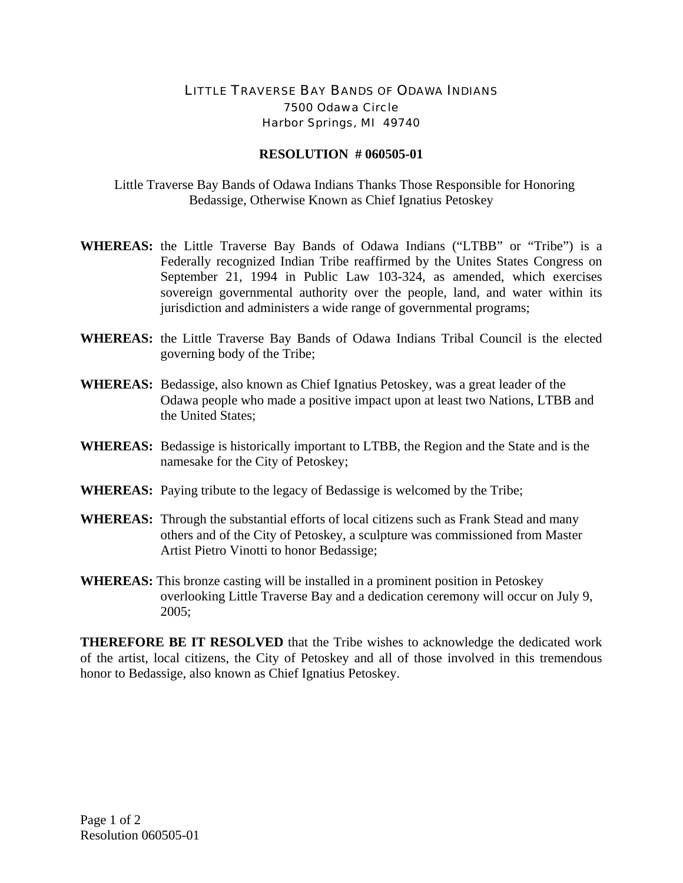## LITTLE TRAVERSE BAY BANDS OF ODAWA INDIANS 7500 Odawa Circle Harbor Springs, MI 49740

## **RESOLUTION # 060505-01**

 Little Traverse Bay Bands of Odawa Indians Thanks Those Responsible for Honoring Bedassige, Otherwise Known as Chief Ignatius Petoskey

- **WHEREAS:** the Little Traverse Bay Bands of Odawa Indians ("LTBB" or "Tribe") is a Federally recognized Indian Tribe reaffirmed by the Unites States Congress on September 21, 1994 in Public Law 103-324, as amended, which exercises sovereign governmental authority over the people, land, and water within its jurisdiction and administers a wide range of governmental programs;
- **WHEREAS:** the Little Traverse Bay Bands of Odawa Indians Tribal Council is the elected governing body of the Tribe;
- **WHEREAS:** Bedassige, also known as Chief Ignatius Petoskey, was a great leader of the Odawa people who made a positive impact upon at least two Nations, LTBB and the United States;
- **WHEREAS:** Bedassige is historically important to LTBB, the Region and the State and is the namesake for the City of Petoskey;
- **WHEREAS:** Paying tribute to the legacy of Bedassige is welcomed by the Tribe;
- **WHEREAS:** Through the substantial efforts of local citizens such as Frank Stead and many others and of the City of Petoskey, a sculpture was commissioned from Master Artist Pietro Vinotti to honor Bedassige;
- **WHEREAS:** This bronze casting will be installed in a prominent position in Petoskey overlooking Little Traverse Bay and a dedication ceremony will occur on July 9, 2005;

**THEREFORE BE IT RESOLVED** that the Tribe wishes to acknowledge the dedicated work of the artist, local citizens, the City of Petoskey and all of those involved in this tremendous honor to Bedassige, also known as Chief Ignatius Petoskey.